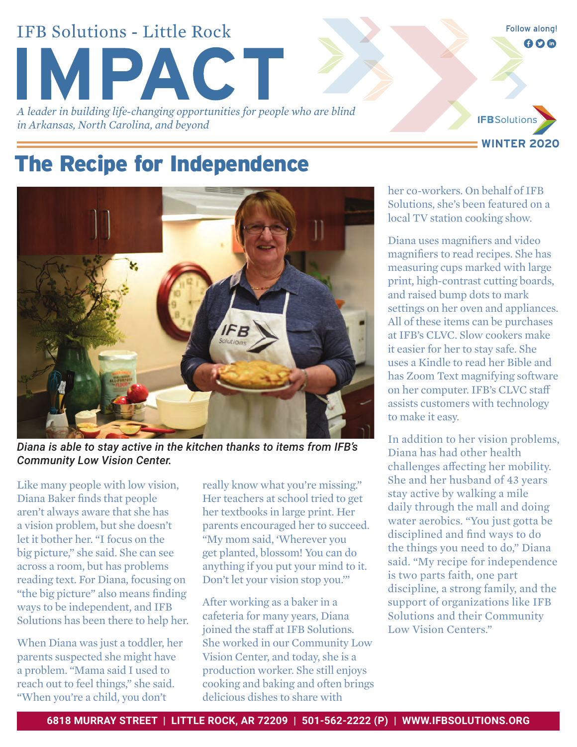# **IFB Solutions - Little Rock MPACT** *A leader in building life-changing opportunities for people who are blind*

*in Arkansas, North Carolina, and beyond*



**Follow along!**  $000$ 

### The Recipe for Independence



*Diana is able to stay active in the kitchen thanks to items from IFB's Community Low Vision Center.*

Like many people with low vision, Diana Baker finds that people aren't always aware that she has a vision problem, but she doesn't let it bother her. "I focus on the big picture," she said. She can see across a room, but has problems reading text. For Diana, focusing on "the big picture" also means finding ways to be independent, and IFB Solutions has been there to help her.

When Diana was just a toddler, her parents suspected she might have a problem. "Mama said I used to reach out to feel things," she said. "When you're a child, you don't

really know what you're missing." Her teachers at school tried to get her textbooks in large print. Her parents encouraged her to succeed. "My mom said, 'Wherever you get planted, blossom! You can do anything if you put your mind to it. Don't let your vision stop you.'"

After working as a baker in a cafeteria for many years, Diana joined the staff at IFB Solutions. She worked in our Community Low Vision Center, and today, she is a production worker. She still enjoys cooking and baking and often brings delicious dishes to share with

her co-workers. On behalf of IFB Solutions, she's been featured on a local TV station cooking show.

Diana uses magnifiers and video magnifiers to read recipes. She has measuring cups marked with large print, high-contrast cutting boards, and raised bump dots to mark settings on her oven and appliances. All of these items can be purchases at IFB's CLVC. Slow cookers make it easier for her to stay safe. She uses a Kindle to read her Bible and has Zoom Text magnifying software on her computer. IFB's CLVC staff assists customers with technology to make it easy.

In addition to her vision problems, Diana has had other health challenges affecting her mobility. She and her husband of 43 years stay active by walking a mile daily through the mall and doing water aerobics. "You just gotta be disciplined and find ways to do the things you need to do," Diana said. "My recipe for independence is two parts faith, one part discipline, a strong family, and the support of organizations like IFB Solutions and their Community Low Vision Centers."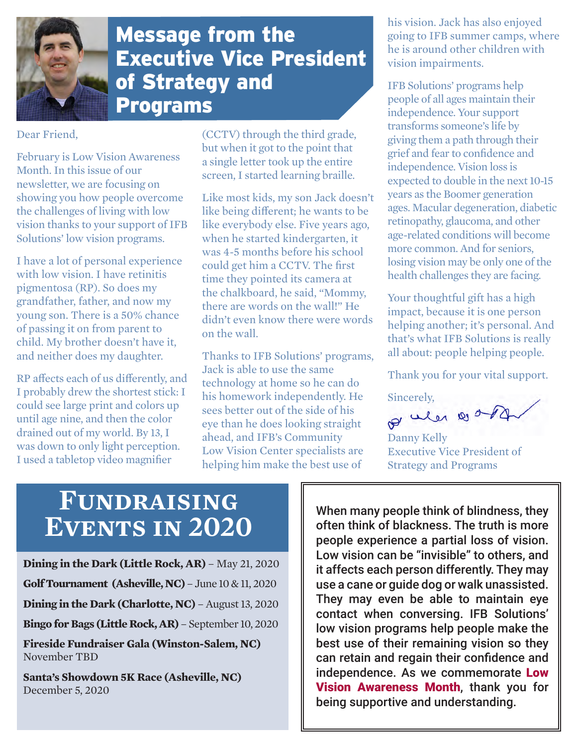

#### Message from the Executive Vice President of Strategy and Programs

Dear Friend,

February is Low Vision Awareness Month. In this issue of our newsletter, we are focusing on showing you how people overcome the challenges of living with low vision thanks to your support of IFB Solutions' low vision programs.

I have a lot of personal experience with low vision. I have retinitis pigmentosa (RP). So does my grandfather, father, and now my young son. There is a 50% chance of passing it on from parent to child. My brother doesn't have it, and neither does my daughter.

RP affects each of us differently, and I probably drew the shortest stick: I could see large print and colors up until age nine, and then the color drained out of my world. By 13, I was down to only light perception. I used a tabletop video magnifier

(CCTV) through the third grade, but when it got to the point that a single letter took up the entire screen, I started learning braille.

Like most kids, my son Jack doesn't like being different; he wants to be like everybody else. Five years ago, when he started kindergarten, it was 4-5 months before his school could get him a CCTV. The first time they pointed its camera at the chalkboard, he said, "Mommy, there are words on the wall!" He didn't even know there were words on the wall.

Thanks to IFB Solutions' programs, Jack is able to use the same technology at home so he can do his homework independently. He sees better out of the side of his eye than he does looking straight ahead, and IFB's Community Low Vision Center specialists are helping him make the best use of

his vision. Jack has also enjoyed going to IFB summer camps, where he is around other children with vision impairments.

IFB Solutions' programs help people of all ages maintain their independence. Your support transforms someone's life by giving them a path through their grief and fear to confidence and independence. Vision loss is expected to double in the next 10-15 years as the Boomer generation ages. Macular degeneration, diabetic retinopathy, glaucoma, and other age-related conditions will become more common. And for seniors, losing vision may be only one of the health challenges they are facing.

Your thoughtful gift has a high impact, because it is one person helping another; it's personal. And that's what IFB Solutions is really all about: people helping people.

Thank you for your vital support.

Sincerely,

of when a org

Danny Kelly Executive Vice President of Strategy and Programs

## **Fundraising Events in 2020**

**Dining in the Dark (Little Rock, AR)** – May 21, 2020 **Golf Tournament (Asheville, NC)** – June 10 & 11, 2020 **Dining in the Dark (Charlotte, NC)** – August 13, 2020 **Bingo for Bags (Little Rock, AR)** – September 10, 2020 **Fireside Fundraiser Gala (Winston-Salem, NC)**  November TBD

**Santa's Showdown 5K Race (Asheville, NC)** December 5, 2020

When many people think of blindness, they often think of blackness. The truth is more people experience a partial loss of vision. Low vision can be "invisible" to others, and it affects each person differently. They may use a cane or guide dog or walk unassisted. They may even be able to maintain eye contact when conversing. IFB Solutions' low vision programs help people make the best use of their remaining vision so they can retain and regain their confidence and independence. As we commemorate Low Vision Awareness Month, thank you for being supportive and understanding.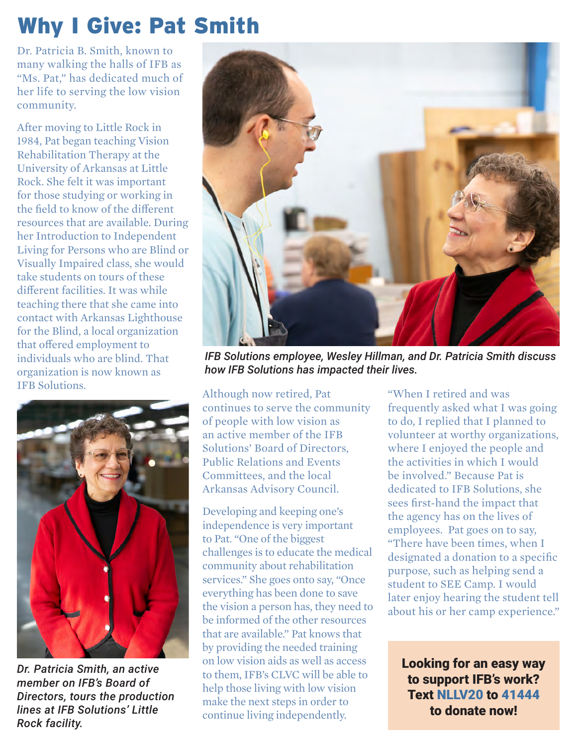# Why I Give: Pat Smith

Dr. Patricia B. Smith, known to many walking the halls of IFB as "Ms. Pat," has dedicated much of her life to serving the low vision community.

After moving to Little Rock in 1984, Pat began teaching Vision Rehabilitation Therapy at the University of Arkansas at Little Rock. She felt it was important for those studying or working in the field to know of the different resources that are available. During her Introduction to Independent Living for Persons who are Blind or Visually Impaired class, she would take students on tours of these different facilities. It was while teaching there that she came into contact with Arkansas Lighthouse for the Blind, a local organization that offered employment to individuals who are blind. That organization is now known as IFB Solutions. Although now retired, Pat



*Dr. Patricia Smith, an active member on IFB's Board of Directors, tours the production lines at IFB Solutions' Little Rock facility.*



*IFB Solutions employee, Wesley Hillman, and Dr. Patricia Smith discuss how IFB Solutions has impacted their lives.*

continues to serve the community of people with low vision as an active member of the IFB Solutions' Board of Directors, Public Relations and Events Committees, and the local Arkansas Advisory Council.

Developing and keeping one's independence is very important to Pat. "One of the biggest challenges is to educate the medical community about rehabilitation services." She goes onto say, "Once everything has been done to save the vision a person has, they need to be informed of the other resources that are available." Pat knows that by providing the needed training on low vision aids as well as access to them, IFB's CLVC will be able to help those living with low vision make the next steps in order to continue living independently.

"When I retired and was frequently asked what I was going to do, I replied that I planned to volunteer at worthy organizations, where I enjoyed the people and the activities in which I would be involved." Because Pat is dedicated to IFB Solutions, she sees first-hand the impact that the agency has on the lives of employees. Pat goes on to say, "There have been times, when I designated a donation to a specific purpose, such as helping send a student to SEE Camp. I would later enjoy hearing the student tell about his or her camp experience."

Looking for an easy way to support IFB's work? Text NLLV20 to 41444 to donate now!